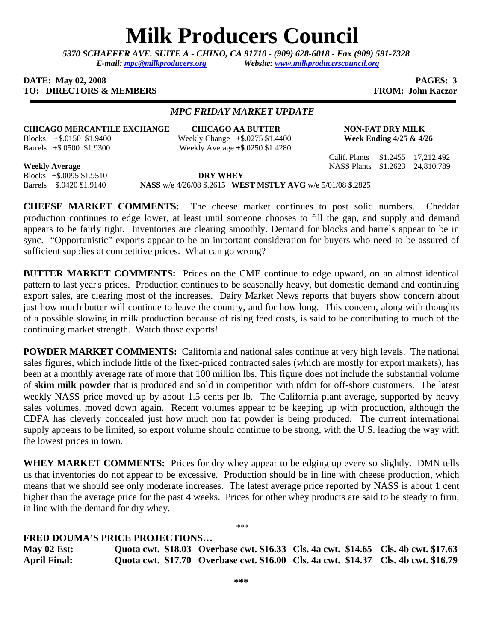## **Milk Producers Council**

*5370 SCHAEFER AVE. SUITE A* **-** *CHINO, CA 91710 - (909) 628-6018 - Fax (909) 591-7328 E-mail: mpc@milkproducers.org Website: www.milkproducerscouncil.org* 

## **DATE: May 02, 2008 PAGES: 3 TO: DIRECTORS & MEMBERS FROM: John Kaczor FROM: John Kaczor**

## *MPC FRIDAY MARKET UPDATE*

**CHICAGO MERCANTILE EXCHANGE CHICAGO AA BUTTER NON-FAT DRY MILK** 

Blocks +\$.0150 \$1.9400 Weekly Change +\$.0275 \$1.4400 **Week Ending 4/25 & 4/26**  Barrels +\$.0500 \$1.9300 Weekly Average **+\$**.0250 \$1.4280

Calif. Plants \$1.2455 17,212,492

**Weekly Average** NASS Plants \$1.2623 24,810,789

Blocks +\$.0095 \$1.9510 **DRY WHEY**  Barrels +\$.0420 \$1.9140 **NASS** w/e 4/26/08 \$.2615 **WEST MSTLY AVG** w/e 5/01/08 \$.2825

**CHEESE MARKET COMMENTS:** The cheese market continues to post solid numbers. Cheddar production continues to edge lower, at least until someone chooses to fill the gap, and supply and demand appears to be fairly tight. Inventories are clearing smoothly. Demand for blocks and barrels appear to be in sync. "Opportunistic" exports appear to be an important consideration for buyers who need to be assured of sufficient supplies at competitive prices. What can go wrong?

**BUTTER MARKET COMMENTS:** Prices on the CME continue to edge upward, on an almost identical pattern to last year's prices. Production continues to be seasonally heavy, but domestic demand and continuing export sales, are clearing most of the increases. Dairy Market News reports that buyers show concern about just how much butter will continue to leave the country, and for how long. This concern, along with thoughts of a possible slowing in milk production because of rising feed costs, is said to be contributing to much of the continuing market strength. Watch those exports!

**POWDER MARKET COMMENTS:** California and national sales continue at very high levels. The national sales figures, which include little of the fixed-priced contracted sales (which are mostly for export markets), has been at a monthly average rate of more that 100 million lbs. This figure does not include the substantial volume of **skim milk powder** that is produced and sold in competition with nfdm for off-shore customers. The latest weekly NASS price moved up by about 1.5 cents per lb. The California plant average, supported by heavy sales volumes, moved down again. Recent volumes appear to be keeping up with production, although the CDFA has cleverly concealed just how much non fat powder is being produced. The current international supply appears to be limited, so export volume should continue to be strong, with the U.S. leading the way with the lowest prices in town.

**WHEY MARKET COMMENTS:** Prices for dry whey appear to be edging up every so slightly. DMN tells us that inventories do not appear to be excessive. Production should be in line with cheese production, which means that we should see only moderate increases. The latest average price reported by NASS is about 1 cent higher than the average price for the past 4 weeks. Prices for other whey products are said to be steady to firm, in line with the demand for dry whey.

\*\*\*

**FRED DOUMA'S PRICE PROJECTIONS…** 

**May 02 Est: Quota cwt. \$18.03 Overbase cwt. \$16.33 Cls. 4a cwt. \$14.65 Cls. 4b cwt. \$17.63 April Final: Quota cwt. \$17.70 Overbase cwt. \$16.00 Cls. 4a cwt. \$14.37 Cls. 4b cwt. \$16.79**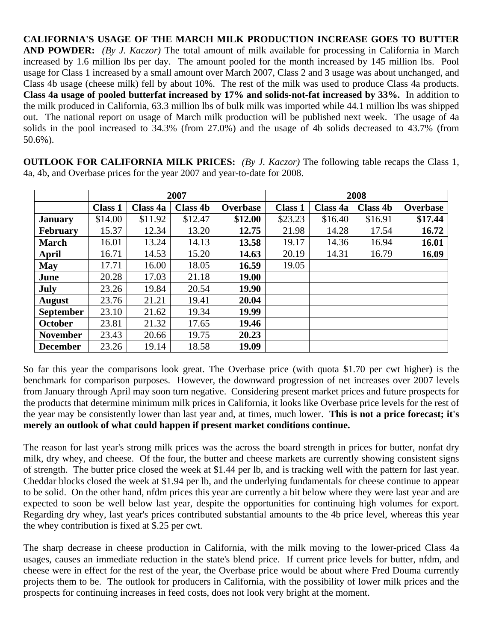**CALIFORNIA'S USAGE OF THE MARCH MILK PRODUCTION INCREASE GOES TO BUTTER AND POWDER:** *(By J. Kaczor)* The total amount of milk available for processing in California in March increased by 1.6 million lbs per day. The amount pooled for the month increased by 145 million lbs. Pool usage for Class 1 increased by a small amount over March 2007, Class 2 and 3 usage was about unchanged, and Class 4b usage (cheese milk) fell by about 10%. The rest of the milk was used to produce Class 4a products. **Class 4a usage of pooled butterfat increased by 17% and solids-not-fat increased by 33%.** In addition to the milk produced in California, 63.3 million lbs of bulk milk was imported while 44.1 million lbs was shipped out. The national report on usage of March milk production will be published next week. The usage of 4a solids in the pool increased to 34.3% (from 27.0%) and the usage of 4b solids decreased to 43.7% (from 50.6%).

**OUTLOOK FOR CALIFORNIA MILK PRICES:** *(By J. Kaczor)* The following table recaps the Class 1, 4a, 4b, and Overbase prices for the year 2007 and year-to-date for 2008.

|                  | 2007           |          |                 |          | 2008           |          |                 |          |
|------------------|----------------|----------|-----------------|----------|----------------|----------|-----------------|----------|
|                  | <b>Class 1</b> | Class 4a | <b>Class 4b</b> | Overbase | <b>Class 1</b> | Class 4a | <b>Class 4b</b> | Overbase |
| <b>January</b>   | \$14.00        | \$11.92  | \$12.47         | \$12.00  | \$23.23        | \$16.40  | \$16.91         | \$17.44  |
| February         | 15.37          | 12.34    | 13.20           | 12.75    | 21.98          | 14.28    | 17.54           | 16.72    |
| <b>March</b>     | 16.01          | 13.24    | 14.13           | 13.58    | 19.17          | 14.36    | 16.94           | 16.01    |
| April            | 16.71          | 14.53    | 15.20           | 14.63    | 20.19          | 14.31    | 16.79           | 16.09    |
| <b>May</b>       | 17.71          | 16.00    | 18.05           | 16.59    | 19.05          |          |                 |          |
| June             | 20.28          | 17.03    | 21.18           | 19.00    |                |          |                 |          |
| <b>July</b>      | 23.26          | 19.84    | 20.54           | 19.90    |                |          |                 |          |
| <b>August</b>    | 23.76          | 21.21    | 19.41           | 20.04    |                |          |                 |          |
| <b>September</b> | 23.10          | 21.62    | 19.34           | 19.99    |                |          |                 |          |
| October          | 23.81          | 21.32    | 17.65           | 19.46    |                |          |                 |          |
| <b>November</b>  | 23.43          | 20.66    | 19.75           | 20.23    |                |          |                 |          |
| <b>December</b>  | 23.26          | 19.14    | 18.58           | 19.09    |                |          |                 |          |

So far this year the comparisons look great. The Overbase price (with quota \$1.70 per cwt higher) is the benchmark for comparison purposes. However, the downward progression of net increases over 2007 levels from January through April may soon turn negative. Considering present market prices and future prospects for the products that determine minimum milk prices in California, it looks like Overbase price levels for the rest of the year may be consistently lower than last year and, at times, much lower. **This is not a price forecast; it's merely an outlook of what could happen if present market conditions continue.** 

The reason for last year's strong milk prices was the across the board strength in prices for butter, nonfat dry milk, dry whey, and cheese. Of the four, the butter and cheese markets are currently showing consistent signs of strength. The butter price closed the week at \$1.44 per lb, and is tracking well with the pattern for last year. Cheddar blocks closed the week at \$1.94 per lb, and the underlying fundamentals for cheese continue to appear to be solid. On the other hand, nfdm prices this year are currently a bit below where they were last year and are expected to soon be well below last year, despite the opportunities for continuing high volumes for export. Regarding dry whey, last year's prices contributed substantial amounts to the 4b price level, whereas this year the whey contribution is fixed at \$.25 per cwt.

The sharp decrease in cheese production in California, with the milk moving to the lower-priced Class 4a usages, causes an immediate reduction in the state's blend price. If current price levels for butter, nfdm, and cheese were in effect for the rest of the year, the Overbase price would be about where Fred Douma currently projects them to be. The outlook for producers in California, with the possibility of lower milk prices and the prospects for continuing increases in feed costs, does not look very bright at the moment.